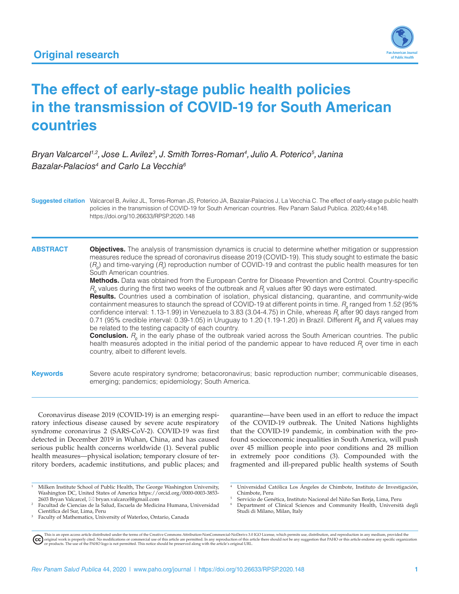

# **The effect of early-stage public health policies in the transmission of COVID-19 for South American countries**

Bryan Valcarcel<sup>1,2</sup>, Jose L. Avilez<sup>3</sup>, J. Smith Torres-Roman<sup>4</sup>, Julio A. Poterico<sup>5</sup>, Janina Bazalar-Palacios<sup>4</sup> and Carlo La Vecchia<sup>6</sup>

**Suggested citation** Valcarcel B, Avilez JL, Torres-Roman JS, Poterico JA, Bazalar-Palacios J, La Vecchia C. The effect of early-stage public health policies in the transmission of COVID-19 for South American countries. Rev Panam Salud Publica. 2020;44:e148. <https://doi.org/10.26633/RPSP.2020.148>

#### **ABSTRACT Objectives.** The analysis of transmission dynamics is crucial to determine whether mitigation or suppression measures reduce the spread of coronavirus disease 2019 (COVID-19). This study sought to estimate the basic  $(R_o)$  and time-varying  $(R_i)$  reproduction number of COVID-19 and contrast the public health measures for ten South American countries.

**Methods.** Data was obtained from the European Centre for Disease Prevention and Control. Country-specific *R0* values during the first two weeks of the outbreak and *R<sup>t</sup>* values after 90 days were estimated.

**Results.** Countries used a combination of isolation, physical distancing, quarantine, and community-wide containment measures to staunch the spread of COVID-19 at different points in time.  $R$ <sub>0</sub> ranged from 1.52 (95% confidence interval: 1.13-1.99) in Venezuela to 3.83 (3.04-4.75) in Chile, whereas *R<sup>t</sup>* after 90 days ranged from 0.71 (95% credible interval: 0.39-1.05) in Uruguay to 1.20 (1.19-1.20) in Brazil. Different  $R_o$  and  $R_i$  values may be related to the testing capacity of each country.

**Conclusion.**  $R$ <sup>0</sup> in the early phase of the outbreak varied across the South American countries. The public health measures adopted in the initial period of the pandemic appear to have reduced  $R_t$  over time in each country, albeit to different levels.

**Keywords** Severe acute respiratory syndrome; betacoronavirus; basic reproduction number; communicable diseases, emerging; pandemics; epidemiology; South America.

Coronavirus disease 2019 (COVID-19) is an emerging respiratory infectious disease caused by severe acute respiratory syndrome coronavirus 2 (SARS-CoV-2). COVID-19 was first detected in December 2019 in Wuhan, China, and has caused serious public health concerns worldwide (1). Several public health measures—physical isolation; temporary closure of territory borders, academic institutions, and public places; and

<sup>1</sup> Milken Institute School of Public Health, The George Washington University, Washington DC, United States of America [https://orcid.org/0000-0003-3853-](https://orcid.org/0000-0003-3853-2603) [2603](https://orcid.org/0000-0003-3853-2603) Bryan Valcarcel, \* [bryan.valcarcel@gmail.com](mailto:bryan.valcarcel@gmail.com)

quarantine—have been used in an effort to reduce the impact of the COVID-19 outbreak. The United Nations highlights that the COVID-19 pandemic, in combination with the profound socioeconomic inequalities in South America, will push over 45 million people into poor conditions and 28 million in extremely poor conditions (3). Compounded with the fragmented and ill-prepared public health systems of South

<sup>4</sup> Universidad Católica Los Ángeles de Chimbote, Instituto de Investigación, Chimbote, Peru

<sup>5</sup> Servicio de Genética, Instituto Nacional del Niño San Borja, Lima, Peru <sup>6</sup> Department of Clinical Sciences and Community Health, Università degli

Studi di Milano, Milan, Italy

This is an open access article distributed under the terms of the [Creative Commons Attribution-NonCommercial-NoDerivs 3.0 IGO License](https://creativecommons.org/licenses/by-nc-nd/3.0/igo/legalcode), which permits use, distribution, and reproduction in any medium, provided the<br>orignal w

Facultad de Ciencias de la Salud, Escuela de Medicina Humana, Universidad<br>Científica del Sur. Lima. Peru

Faculty of Mathematics, University of Waterloo, Ontario, Canada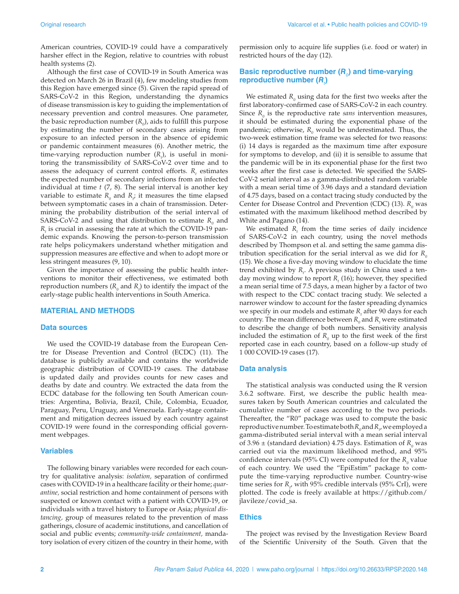American countries, COVID-19 could have a comparatively harsher effect in the Region, relative to countries with robust health systems (2).

Although the first case of COVID-19 in South America was detected on March 26 in Brazil (4), few modeling studies from this Region have emerged since (5). Given the rapid spread of SARS-CoV-2 in this Region, understanding the dynamics of disease transmission is key to guiding the implementation of necessary prevention and control measures. One parameter, the basic reproduction number  $(R_0)$ , aids to fulfill this purpose by estimating the number of secondary cases arising from exposure to an infected person in the absence of epidemic or pandemic containment measures (6). Another metric, the time-varying reproduction number  $(R<sub>t</sub>)$ , is useful in monitoring the transmissibility of SARS-CoV-2 over time and to assess the adequacy of current control efforts.  $R_t$  estimates the expected number of secondary infections from an infected individual at time *t* (7, 8). The serial interval is another key variable to estimate  $R_{\rho}$  and  $R_{\mu}$  it measures the time elapsed between symptomatic cases in a chain of transmission. Determining the probability distribution of the serial interval of SARS-CoV-2 and using that distribution to estimate  $R_0$  and *Rt* is crucial in assessing the rate at which the COVID-19 pandemic expands. Knowing the person-to-person transmission rate helps policymakers understand whether mitigation and suppression measures are effective and when to adopt more or less stringent measures (9, 10).

Given the importance of assessing the public health interventions to monitor their effectiveness, we estimated both reproduction numbers  $(R_{0}$  and  $R_{i}$ ) to identify the impact of the early-stage public health interventions in South America.

#### **MATERIAL AND METHODS**

#### **Data sources**

We used the COVID-19 database from the European Centre for Disease Prevention and Control (ECDC) (11). The database is publicly available and contains the worldwide geographic distribution of COVID-19 cases. The database is updated daily and provides counts for new cases and deaths by date and country. We extracted the data from the ECDC database for the following ten South American countries: Argentina, Bolivia, Brazil, Chile, Colombia, Ecuador, Paraguay, Peru, Uruguay, and Venezuela. Early-stage containment and mitigation decrees issued by each country against COVID-19 were found in the corresponding official government webpages.

#### **Variables**

The following binary variables were recorded for each country for qualitative analysis: *isolation,* separation of confirmed cases with COVID-19 in a healthcare facility or their home; *quarantine,* social restriction and home containment of persons with suspected or known contact with a patient with COVID-19, or individuals with a travel history to Europe or Asia; *physical distancing,* group of measures related to the prevention of mass gatherings, closure of academic institutions, and cancellation of social and public events; *community-wide containment,* mandatory isolation of every citizen of the country in their home, with

permission only to acquire life supplies (i.e. food or water) in restricted hours of the day (12).

### **Basic reproductive number (***R<sup>0</sup>* **) and time-varying reproductive number (***R<sup>t</sup>* **)**

We estimated  $R_{0}$  using data for the first two weeks after the first laboratory-confirmed case of SARS-CoV-2 in each country. Since  $R_0$  is the reproductive rate *sans* intervention measures, it should be estimated during the exponential phase of the pandemic; otherwise,  $R_{0}$  would be underestimated. Thus, the two-week estimation time frame was selected for two reasons: (i) 14 days is regarded as the maximum time after exposure for symptoms to develop, and (ii) it is sensible to assume that the pandemic will be in its exponential phase for the first two weeks after the first case is detected. We specified the SARS-CoV-2 serial interval as a gamma-distributed random variable with a mean serial time of 3.96 days and a standard deviation of 4.75 days, based on a contact tracing study conducted by the Center for Disease Control and Prevention (CDC) (13). *R<sub>0</sub>* was estimated with the maximum likelihood method described by White and Pagano (14).

We estimated  $R_t$  from the time series of daily incidence of SARS-CoV-2 in each country, using the novel methods described by Thompson et al. and setting the same gamma distribution specification for the serial interval as we did for  $R_0$ (15)*.* We chose a five-day moving window to elucidate the time trend exhibited by R<sub>t</sub>. A previous study in China used a tenday moving window to report  $R_t(16)$ ; however, they specified a mean serial time of 7.5 days, a mean higher by a factor of two with respect to the CDC contact tracing study. We selected a narrower window to account for the faster spreading dynamics we specify in our models and estimate  $R_{\mu}$  after 90 days for each country. The mean difference between  $R_{\theta}$  and  $R_{\mu}$  were estimated to describe the change of both numbers. Sensitivity analysis included the estimation of  $R$ <sup>0</sup> up to the first week of the first reported case in each country, based on a follow-up study of 1 000 COVID-19 cases (17).

#### **Data analysis**

The statistical analysis was conducted using the R version 3.6.2 software. First, we describe the public health measures taken by South American countries and calculated the cumulative number of cases according to the two periods. Thereafter, the "R0" package was used to compute the basic reproductive number. To estimate both  $R_o$  and  $R_\nu$  we employed a gamma-distributed serial interval with a mean serial interval of 3.96  $\pm$  (standard deviation) 4.75 days. Estimation of  $R_0$  was carried out via the maximum likelihood method, and 95% confidence intervals (95% CI) were computed for the  $R_{0}$  value of each country. We used the "EpiEstim" package to compute the time-varying reproductive number. Country-wise time series for  $R_{\mu}$  with 95% credible intervals (95% CrI), were plotted. The code is freely available at [https://github.com/](https://github.com/jlavileze/covid_sa) [jlavileze/covid\\_sa](https://github.com/jlavileze/covid_sa).

#### **Ethics**

The project was revised by the Investigation Review Board of the Scientific University of the South. Given that the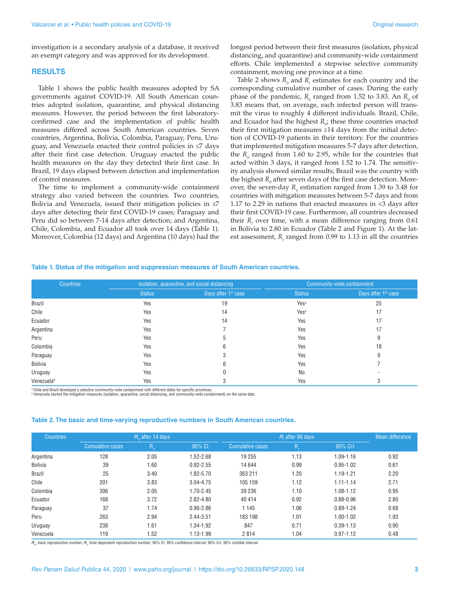investigation is a secondary analysis of a database, it received an exempt category and was approved for its development.

#### **RESULTS**

Table 1 shows the public health measures adopted by SA governments against COVID-19. All South American countries adopted isolation, quarantine, and physical distancing measures. However, the period between the first laboratoryconfirmed case and the implementation of public health measures differed across South American countries. Seven countries, Argentina, Bolivia, Colombia, Paraguay, Peru, Uruguay, and Venezuela enacted their control policies in ≤7 days after their first case detection. Uruguay enacted the public health measures on the day they detected their first case. In Brazil, 19 days elapsed between detection and implementation of control measures.

The time to implement a community-wide containment strategy also varied between the countries. Two countries, Bolivia and Venezuela, issued their mitigation policies in ≤7 days after detecting their first COVID-19 cases; Paraguay and Peru did so between 7-14 days after detection; and Argentina, Chile, Colombia, and Ecuador all took over 14 days (Table 1). Moreover, Colombia (12 days) and Argentina (10 days) had the longest period between their first measures (isolation, physical distancing, and quarantine) and community-wide containment efforts. Chile implemented a stepwise selective community containment, moving one province at a time.

Table 2 shows  $R_{0}$  and  $R_{t}$  estimates for each country and the corresponding cumulative number of cases. During the early phase of the pandemic,  $R_{0}$  ranged from 1.52 to 3.83. An  $R_{0}$  of 3.83 means that, on average, each infected person will transmit the virus to roughly 4 different individuals. Brazil, Chile, and Ecuador had the highest  $R_{\rho}$ ; these three countries enacted their first mitigation measures ≥14 days from the initial detection of COVID-19 patients in their territory. For the countries that implemented mitigation measures 5-7 days after detection, the  $R_0$  ranged from 1.60 to 2.95, while for the countries that acted within 3 days, it ranged from 1.52 to 1.74. The sensitivity analysis showed similar results; Brazil was the country with the highest  $R_{_0}$  after seven days of the first case detection. Moreover, the seven-day  $R_{0}$  estimation ranged from 1.39 to 3.48 for countries with mitigation measures between 5-7 days and from 1.17 to 2.29 in nations that enacted measures in <3 days after their first COVID-19 case. Furthermore, all countries decreased their  $R<sub>i</sub>$  over time, with a mean difference ranging from  $0.61$ in Bolivia to 2.80 in Ecuador (Table 2 and Figure 1). At the latest assessment, *R<sub>t</sub>* ranged from 0.99 to 1.13 in all the countries

#### **Table 1. Status of the mitigation and suppression measures of South American countries.**

| <b>Countries</b> | Isolation, quarantine, and social distancing |                                 | Community-wide containment |                                 |  |
|------------------|----------------------------------------------|---------------------------------|----------------------------|---------------------------------|--|
|                  | <b>Status</b>                                | Days after 1 <sup>st</sup> case | <b>Status</b>              | Days after 1 <sup>st</sup> case |  |
| <b>Brazil</b>    | Yes                                          | 19                              | Yes <sup>a</sup>           | 25                              |  |
| Chile            | Yes                                          | 14                              | Yes <sup>a</sup>           | 17                              |  |
| Ecuador          | Yes                                          | 14                              | Yes                        | 17                              |  |
| Argentina        | Yes                                          |                                 | Yes                        | 17                              |  |
| Peru             | Yes                                          | 5                               | Yes                        | 9                               |  |
| Colombia         | Yes                                          | 6                               | Yes                        | 18                              |  |
| Paraguay         | Yes                                          | 3                               | Yes                        | 9                               |  |
| <b>Bolivia</b>   | Yes                                          | 6                               | Yes                        |                                 |  |
| Uruguay          | Yes                                          |                                 | No                         |                                 |  |
| Venezuelab       | Yes                                          |                                 | Yes                        | 3                               |  |

ª Chile and Brazil developed a selective community-wide containment with different dates for specific provinces.<br>ª Venezuela started the mitigation measures (isolation, quarantine, social distancing, and community-wide con

#### **Table 2. The basic and time-varying reproductive numbers in South American countries.**

| <b>Countries</b> |                  | $R_0$ after 14 days |               |                  | R after 90 days |               | Mean difference |
|------------------|------------------|---------------------|---------------|------------------|-----------------|---------------|-----------------|
|                  | Cumulative cases | $R_{0}$             | 95% CI        | Cumulative cases | R,              | 95% Crl       |                 |
| Argentina        | 128              | 2.05                | 1.52-2.68     | 19 255           | 1.13            | $1.09 - 1.16$ | 0.92            |
| <b>Bolivia</b>   | 39               | 1.60                | $0.92 - 2.55$ | 14 644           | 0.99            | $0.95 - 1.02$ | 0.61            |
| <b>Brazil</b>    | 25               | 3.40                | 1.82-5.70     | 363 211          | 1.20            | 1.19-1.21     | 2.20            |
| Chile            | 201              | 3.83                | 3.04-4.75     | 105 159          | 1.12            | $1.11 - 1.14$ | 2.71            |
| Colombia         | 306              | 2.05                | 1.70-2.45     | 39 236           | 1.10            | 1.08-1.12     | 0.95            |
| Ecuador          | 168              | 3.72                | $2.82 - 4.80$ | 40 414           | 0.92            | $0.88 - 0.96$ | 2.80            |
| Paraguay         | 37               | 1.74                | $0.96 - 2.86$ | 1 1 4 5          | 1.06            | $0.89 - 1.24$ | 0.68            |
| Peru             | 263              | 2.94                | 2.44-3.51     | 183 198          | 1.01            | $1.00 - 1.02$ | 1.93            |
| Uruguay          | 238              | 1.61                | 1.34-1.92     | 847              | 0.71            | $0.39 - 1.13$ | 0.90            |
| Venezuela        | 119              | 1.52                | 1.13-1.99     | 2814             | 1.04            | $0.97 - 1.12$ | 0.48            |

 $R_o$ , basic reproduction number;  $R_e$  time-dependent reproduction number; 95% CI, 95% confidence interval; 95% CrI, 95% credible interval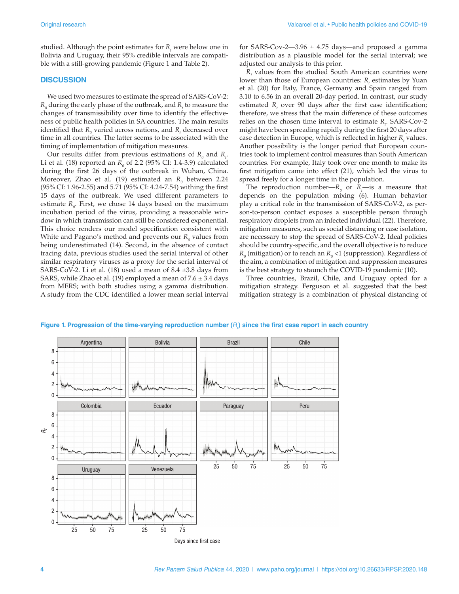studied. Although the point estimates for  $R_t$  were below one in Bolivia and Uruguay, their 95% credible intervals are compatible with a still-growing pandemic (Figure 1 and Table 2).

#### **DISCUSSION**

We used two measures to estimate the spread of SARS-CoV-2:  $R_{\textit{o}}$  during the early phase of the outbreak, and  $R_{\textit{i}}$  to measure the changes of transmissibility over time to identify the effectiveness of public health policies in SA countries. The main results identified that  $R_{\textit{o}}$  varied across nations, and  $R_{\textit{i}}$  decreased over time in all countries. The latter seems to be associated with the timing of implementation of mitigation measures.

Our results differ from previous estimations of  $R_{\theta}$  and  $R_{t}$ . Li et al. (18) reported an  $R_{0}$  of 2.2 (95% CI: 1.4-3.9) calculated during the first 26 days of the outbreak in Wuhan, China. Moreover, Zhao et al. (19) estimated an  $R_{\text{o}}$  between 2.24 (95% CI: 1.96-2.55) and 5.71 (95% CI: 4.24-7.54) withing the first 15 days of the outbreak. We used different parameters to estimate *R*<sub>0</sub>. First, we chose 14 days based on the maximum incubation period of the virus, providing a reasonable window in which transmission can still be considered exponential. This choice renders our model specification consistent with White and Pagano's method and prevents our  $R_{\textit{o}}$  values from being underestimated (14). Second, in the absence of contact tracing data, previous studies used the serial interval of other similar respiratory viruses as a proxy for the serial interval of SARS-CoV-2. Li et al.  $(18)$  used a mean of 8.4  $\pm$ 3.8 days from SARS, while Zhao et al. (19) employed a mean of  $7.6 \pm 3.4$  days from MERS; with both studies using a gamma distribution. A study from the CDC identified a lower mean serial interval

for SARS-Cov-2-3.96  $\pm$  4.75 days-and proposed a gamma distribution as a plausible model for the serial interval; we adjusted our analysis to this prior.

*Rt* values from the studied South American countries were lower than those of European countries:  $R<sub>t</sub>$  estimates by Yuan et al. (20) for Italy, France, Germany and Spain ranged from 3.10 to 6.56 in an overall 20-day period. In contrast, our study estimated *R*<sub>t</sub> over 90 days after the first case identification; therefore, we stress that the main difference of these outcomes relies on the chosen time interval to estimate  $R_t$ . SARS-Cov-2 might have been spreading rapidly during the first 20 days after case detection in Europe, which is reflected in higher  $R_t$  values. Another possibility is the longer period that European countries took to implement control measures than South American countries. For example, Italy took over one month to make its first mitigation came into effect (21), which led the virus to spread freely for a longer time in the population.

The reproduction number— $R_{0}$  or  $R_{t}$ —is a measure that depends on the population mixing (6). Human behavior play a critical role in the transmission of SARS-CoV-2, as person-to-person contact exposes a susceptible person through respiratory droplets from an infected individual (22). Therefore, mitigation measures, such as social distancing or case isolation, are necessary to stop the spread of SARS-CoV-2. Ideal policies should be country-specific, and the overall objective is to reduce  $R_{\scriptscriptstyle 0}$  (mitigation) or to reach an  $R_{\scriptscriptstyle 0}$  <1 (suppression). Regardless of the aim, a combination of mitigation and suppression measures is the best strategy to staunch the COVID-19 pandemic (10).

Three countries, Brazil, Chile, and Uruguay opted for a mitigation strategy. Ferguson et al. suggested that the best mitigation strategy is a combination of physical distancing of



#### Figure 1. Progression of the time-varying reproduction number  $(R_i)$  since the first case report in each country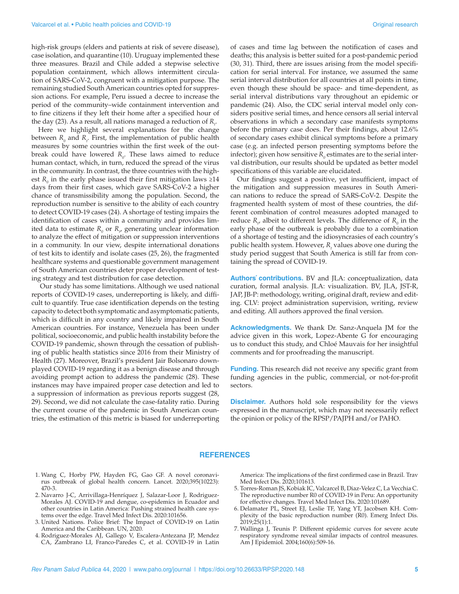high-risk groups (elders and patients at risk of severe disease), case isolation, and quarantine (10). Uruguay implemented these three measures. Brazil and Chile added a stepwise selective population containment, which allows intermittent circulation of SARS-CoV-2, congruent with a mitigation purpose. The remaining studied South American countries opted for suppression actions. For example, Peru issued a decree to increase the period of the community–wide containment intervention and to fine citizens if they left their home after a specified hour of the day (23). As a result, all nations managed a reduction of  $R_{t}$ .

Here we highlight several explanations for the change between  $R_{0}$  and  $R_{t}$ . First, the implementation of public health measures by some countries within the first week of the outbreak could have lowered  $R_{0}$ . These laws aimed to reduce human contact, which, in turn, reduced the spread of the virus in the community. In contrast, the three countries with the highest  $R_0$  in the early phase issued their first mitigation laws ≥14 days from their first cases, which gave SARS-CoV-2 a higher chance of transmissibility among the population. Second, the reproduction number is sensitive to the ability of each country to detect COVID-19 cases (24). A shortage of testing impairs the identification of cases within a community and provides limited data to estimate  $R_{\theta}$  or  $R_{\mu}$  generating unclear information to analyze the effect of mitigation or suppression interventions in a community. In our view, despite international donations of test kits to identify and isolate cases (25, 26), the fragmented healthcare systems and questionable government management of South American countries deter proper development of testing strategy and test distribution for case detection.

 Our study has some limitations. Although we used national reports of COVID-19 cases, underreporting is likely, and difficult to quantify. True case identification depends on the testing capacity to detect both symptomatic and asymptomatic patients, which is difficult in any country and likely impaired in South American countries. For instance, Venezuela has been under political, socioeconomic, and public health instability before the COVID-19 pandemic, shown through the cessation of publishing of public health statistics since 2016 from their Ministry of Health (27). Moreover, Brazil's president Jair Bolsonaro downplayed COVID-19 regarding it as a benign disease and through avoiding prompt action to address the pandemic (28). These instances may have impaired proper case detection and led to a suppression of information as previous reports suggest (28, 29). Second, we did not calculate the case-fatality ratio. During the current course of the pandemic in South American countries, the estimation of this metric is biased for underreporting of cases and time lag between the notification of cases and deaths; this analysis is better suited for a post-pandemic period (30, 31). Third, there are issues arising from the model specification for serial interval. For instance, we assumed the same serial interval distribution for all countries at all points in time, even though these should be space- and time-dependent, as serial interval distributions vary throughout an epidemic or pandemic (24). Also, the CDC serial interval model only considers positive serial times, and hence censors all serial interval observations in which a secondary case manifests symptoms before the primary case does. Per their findings, about 12.6% of secondary cases exhibit clinical symptoms before a primary case (e.g. an infected person presenting symptoms before the infector); given how sensitive  $R_{\scriptscriptstyle 0}$  estimates are to the serial interval distribution, our results should be updated as better model specifications of this variable are elucidated.

Our findings suggest a positive, yet insufficient, impact of the mitigation and suppression measures in South American nations to reduce the spread of SARS-CoV-2. Despite the fragmented health system of most of these countries, the different combination of control measures adopted managed to reduce  $R_{\mu}$  albeit to different levels. The difference of  $R_{0}$  in the early phase of the outbreak is probably due to a combination of a shortage of testing and the idiosyncrasies of each country's public health system. However,  $R_t$  values above one during the study period suggest that South America is still far from containing the spread of COVID-19.

**Authors´ contributions.** BV and JLA: conceptualization, data curation, formal analysis. JLA: visualization. BV, JLA, JST-R, JAP, JB-P: methodology, writing, original draft, review and editing. CLV: project administration supervision, writing, review and editing. All authors approved the final version.

**Acknowledgments.** We thank Dr. Sanz-Anquela JM for the advice given in this work, Lopez-Abente G for encouraging us to conduct this study, and Chloé Mauvais for her insightful comments and for proofreading the manuscript.

**Funding.** This research did not receive any specific grant from funding agencies in the public, commercial, or not-for-profit sectors.

**Disclaimer.** Authors hold sole responsibility for the views expressed in the manuscript, which may not necessarily reflect the opinion or policy of the RPSP/PAJPH and/or PAHO.

#### **REFERENCES**

- 1. Wang C, Horby PW, Hayden FG, Gao GF. A novel coronavirus outbreak of global health concern. Lancet. 2020;395(10223): 470-3.
- 2. Navarro J-C, Arrivillaga-Henríquez J, Salazar-Loor J, Rodriguez-Morales AJ. COVID-19 and dengue, co-epidemics in Ecuador and other countries in Latin America: Pushing strained health care systems over the edge. Travel Med Infect Dis. 2020:101656.
- 3. United Nations. Police Brief: The Impact of COVID-19 on Latin America and the Caribbean. UN, 2020.
- 4. Rodriguez-Morales AJ, Gallego V, Escalera-Antezana JP, Mendez CA, Zambrano LI, Franco-Paredes C, et al. COVID-19 in Latin

America: The implications of the first confirmed case in Brazil. Trav Med Infect Dis. 2020;101613.

- 5. Torres-Roman JS, Kobiak IC, Valcarcel B, Diaz-Velez C, La Vecchia C. The reproductive number R0 of COVID-19 in Peru: An opportunity for effective changes. Travel Med Infect Dis. 2020:101689.
- 6. Delamater PL, Street EJ, Leslie TF, Yang YT, Jacobsen KH. Complexity of the basic reproduction number (R0). Emerg Infect Dis. 2019;25(1):1.
- 7. Wallinga J, Teunis P. Different epidemic curves for severe acute respiratory syndrome reveal similar impacts of control measures. Am J Epidemiol. 2004;160(6):509-16.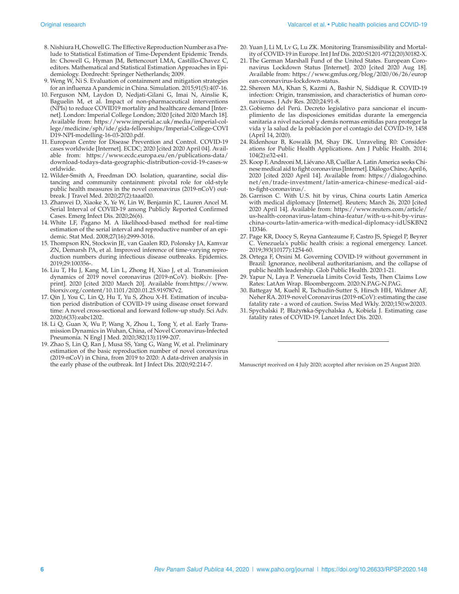- 8. Nishiura H, Chowell G. The Effective Reproduction Number as a Prelude to Statistical Estimation of Time-Dependent Epidemic Trends. In: Chowell G, Hyman JM, Bettencourt LMA, Castillo-Chavez C, editors. Mathematical and Statistical Estimation Approaches in Epidemiology. Dordrecht: Springer Netherlands; 2009.
- 9. Weng W, Ni S. Evaluation of containment and mitigation strategies for an influenza A pandemic in China. Simulation. 2015;91(5):407-16.
- 10. Ferguson NM, Laydon D, Nedjati-Gilani G, Imai N, Ainslie K, Baguelin M, et al. Impact of non-pharmaceutical interventions (NPIs) to reduce COVID19 mortality and healthcare demand [Internet]. London: Imperial College London; 2020 [cited 2020 March 18]. Available from: [https://www.imperial.ac.uk/media/imperial-col](https://www.imperial.ac.uk/media/imperial-college/medicine/sph/ide/gida-fellowships/Imperial-College-COVID19-NPI-modelling-16-03-2020.pdf)[lege/medicine/sph/ide/gida-fellowships/Imperial-College-COVI](https://www.imperial.ac.uk/media/imperial-college/medicine/sph/ide/gida-fellowships/Imperial-College-COVID19-NPI-modelling-16-03-2020.pdf) [D19-NPI-modelling-16-03-2020.pdf](https://www.imperial.ac.uk/media/imperial-college/medicine/sph/ide/gida-fellowships/Imperial-College-COVID19-NPI-modelling-16-03-2020.pdf).
- 11. European Centre for Disease Prevention and Control. COVID-19 cases worldwide [Internet]. ECDC; 2020 [cited 2020 April 04]. Available from: [https://www.ecdc.europa.eu/en/publications-data/](https://www.ecdc.europa.eu/en/publications-data/download-todays-data-geographic-distribution-covid-19-cases-worldwide) [download-todays-data-geographic-distribution-covid-19-cases-w](https://www.ecdc.europa.eu/en/publications-data/download-todays-data-geographic-distribution-covid-19-cases-worldwide) [orldwide](https://www.ecdc.europa.eu/en/publications-data/download-todays-data-geographic-distribution-covid-19-cases-worldwide).
- 12. Wilder-Smith A, Freedman DO. Isolation, quarantine, social distancing and community containment: pivotal role for old-style public health measures in the novel coronavirus (2019-nCoV) outbreak. J Travel Med. 2020;27(2):taaa020.
- 13. Zhanwei D, Xiaoke X, Ye W, Lin W, Benjamin JC, Lauren Ancel M. Serial Interval of COVID-19 among Publicly Reported Confirmed Cases. Emerg Infect Dis. 2020;26(6).
- 14. White LF, Pagano M. A likelihood-based method for real-time estimation of the serial interval and reproductive number of an epidemic. Stat Med. 2008;27(16):2999-3016.
- 15. Thompson RN, Stockwin JE, van Gaalen RD, Polonsky JA, Kamvar ZN, Demarsh PA, et al. Improved inference of time-varying reproduction numbers during infectious disease outbreaks. Epidemics. 2019;29:100356-.
- 16. Liu T, Hu J, Kang M, Lin L, Zhong H, Xiao J, et al. Transmission dynamics of 2019 novel coronavirus (2019-nCoV). bioRxiv. [Preprint]. 2020 [cited 2020 March 20]. Available from[:https://www.](https://www.biorxiv.org/content/10.1101/2020.01.25.919787v2) [biorxiv.org/content/10.1101/2020.01.25.919787v2](https://www.biorxiv.org/content/10.1101/2020.01.25.919787v2).
- 17. Qin J, You C, Lin Q, Hu T, Yu S, Zhou X-H. Estimation of incubation period distribution of COVID-19 using disease onset forward time: A novel cross-sectional and forward follow-up study. Sci Adv. 2020;6(33):eabc1202.
- 18. Li Q, Guan X, Wu P, Wang X, Zhou L, Tong Y, et al. Early Transmission Dynamics in Wuhan, China, of Novel Coronavirus-Infected Pneumonia. N Engl J Med. 2020;382(13):1199-207.
- 19. Zhao S, Lin Q, Ran J, Musa SS, Yang G, Wang W, et al. Preliminary estimation of the basic reproduction number of novel coronavirus (2019-nCoV) in China, from 2019 to 2020: A data-driven analysis in the early phase of the outbreak. Int J Infect Dis. 2020;92:214-7.
- 20. Yuan J, Li M, Lv G, Lu ZK. Monitoring Transmissibility and Mortality of COVID-19 in Europe. Int J Inf Dis. 2020:S1201-9712(20)30182-X.
- 21. The German Marshall Fund of the United States. European Coronavirus Lockdown Status [Internet]. 2020 [cited 2020 Aug 18]. Available from: [https://www.gmfus.org/blog/2020/06/26/europ](https://www.gmfus.org/blog/2020/06/26/europ​e​an​-​coronavirus-lockdown-status) [ean-coronavirus-lockdown-status](https://www.gmfus.org/blog/2020/06/26/europ​e​an​-​coronavirus-lockdown-status).
- 22. Shereen MA, Khan S, Kazmi A, Bashir N, Siddique R. COVID-19 infection: Origin, transmission, and characteristics of human coronaviruses. J Adv Res. 2020;24:91-8.
- 23. Gobierno del Perú. Decreto legislativo para sancionar el incumplimiento de las disposiciones emitidas durante la emergencia sanitaria a nivel nacional y demás normas emitidas para proteger la vida y la salud de la población por el contagio del COVID-19, 1458 (April 14, 2020).
- 24. Ridenhour B, Kowalik JM, Shay DK. Unraveling R0: Considerations for Public Health Applications. Am J Public Health. 2014; 104(2):e32-e41.
- 25. Koop F, Andreoni M, Liévano AB, Cuéllar A. Latin America seeks Chinese medical aid to fight coronavirus [Internet]. Diálogo Chino; April 6, 2020 [cited 2020 April 14]. Available from: [https://dialogochino.](https://dialogochino.net/en/trade-investment/latin-america-chinese​-medi​cal​-aid​-to​-fight-coronavirus) [net/en/trade-investment/latin-america-chinese-medical-aid](https://dialogochino.net/en/trade-investment/latin-america-chinese​-medi​cal​-aid​-to​-fight-coronavirus)[to-fight-coronavirus](https://dialogochino.net/en/trade-investment/latin-america-chinese​-medi​cal​-aid​-to​-fight-coronavirus)/.
- 26. Garrison C. With U.S. hit by virus, China courts Latin America with medical diplomacy [Internet]. Reuters; March 26, 2020 [cited 2020 April 14]. Available from: [https://www.reuters.com/article/](https://www.reuters.com/article/us-health-coronavirus-latam-china-featur/with-u-​s-hit​-by-virus-​china-courts-latin-america-with-medical-diplomacy-i​dUSKBN2​1D346) [us-health-coronavirus-latam-china-featur/with-u-s-hit-by-virus](https://www.reuters.com/article/us-health-coronavirus-latam-china-featur/with-u-​s-hit​-by-virus-​china-courts-latin-america-with-medical-diplomacy-i​dUSKBN2​1D346)[china-courts-latin-america-with-medical-diplomacy-idUSKBN2](https://www.reuters.com/article/us-health-coronavirus-latam-china-featur/with-u-​s-hit​-by-virus-​china-courts-latin-america-with-medical-diplomacy-i​dUSKBN2​1D346) [1D346.](https://www.reuters.com/article/us-health-coronavirus-latam-china-featur/with-u-​s-hit​-by-virus-​china-courts-latin-america-with-medical-diplomacy-i​dUSKBN2​1D346)
- 27. Page KR, Doocy S, Reyna Ganteaume F, Castro JS, Spiegel P, Beyrer C. Venezuela's public health crisis: a regional emergency. Lancet. 2019;393(10177):1254-60.
- 28. Ortega F, Orsini M. Governing COVID-19 without government in Brazil: Ignorance, neoliberal authoritarianism, and the collapse of public health leadership. Glob Public Health. 2020:1-21.
- 29. Yapur N, Laya P. Venezuela Limits Covid Tests, Then Claims Low Rates: LatAm Wrap. Bloombergcom. 2020:N.PAG-N.PAG.
- 30. Battegay M, Kuehl R, Tschudin-Sutter S, Hirsch HH, Widmer AF, Neher RA. 2019-novel Coronavirus (2019-nCoV): estimating the case fatality rate - a word of caution. Swiss Med Wkly. 2020;150:w20203.
- andry rate a word of edution. Swiss Med Wkry. 2020, 190. W20200.<br>31. Spychalski P, Błażyńska-Spychalska A, Kobiela J. Estimating case fatality rates of COVID-19. Lancet Infect Dis. 2020.

Manuscript received on 4 July 2020; accepted after revision on 25 August 2020.